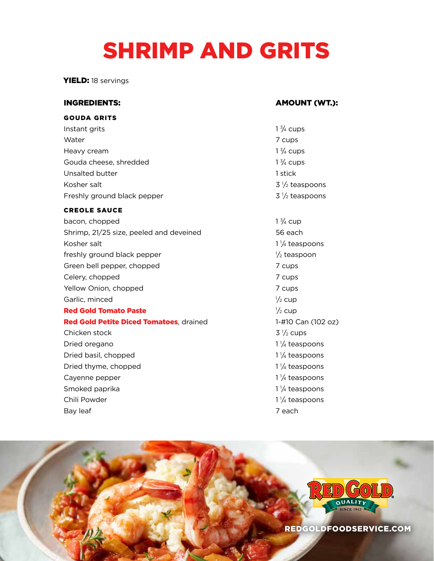# SHRIMP AND GRITS

YIELD: 18 servings

#### GOUDA GRITS

Instant grits Water 7 cups and 2 cups and 2 cups are  $\sim$  7 cups Heavy cream Gouda cheese, shredded Unsalted butter 1 stick Kosher salt Freshly ground black pepper

#### CREOLE SAUCE

Chili Powder

bacon, chopped Shrimp, 21/25 size, peeled and deveined 56 each Kosher salt freshly ground black pepper Green bell pepper, chopped 7 cups Celery, chopped 7 cups Yellow Onion, chopped 7 cups Garlic, minced <sup>1</sup> **Red Gold Tomato Paste** Red Gold Petite Diced Tomatoes, drained 1-#10 Can (102 oz) Chicken stock Dried oregano Dried basil, chopped Dried thyme, chopped Cayenne pepper Smoked paprika

#### INGREDIENTS: AMOUNT (WT.):

- $1\frac{3}{4}$  cups  $1\frac{3}{4}$  cups  $1\frac{3}{4}$  cups  $3\frac{1}{2}$  teaspoons  $3\frac{1}{2}$  teaspoons
- $1\frac{3}{4}$  cup  $1\frac{1}{4}$  teaspoons  $\frac{1}{2}$  teaspoon  $\frac{1}{2}$  cup  $\frac{1}{2}$  cup  $3\frac{1}{2}$  cups  $1\frac{1}{4}$  teaspoons  $1\frac{1}{4}$  teaspoons  $1\frac{1}{4}$  teaspoons  $1\frac{1}{4}$  teaspoons  $1\frac{1}{4}$  teaspoons  $1\frac{1}{4}$  teaspoons Bay leaf 7 each